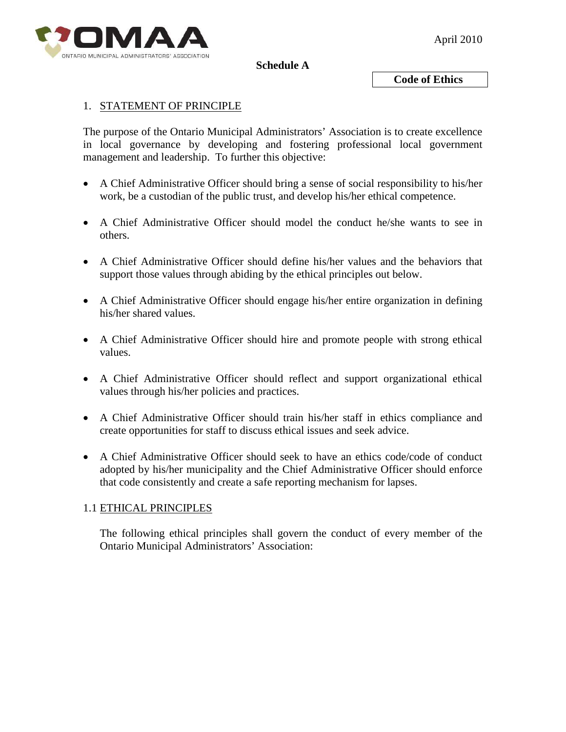

#### **Schedule A**

**Code of Ethics**

# 1. STATEMENT OF PRINCIPLE

The purpose of the Ontario Municipal Administrators' Association is to create excellence in local governance by developing and fostering professional local government management and leadership. To further this objective:

- A Chief Administrative Officer should bring a sense of social responsibility to his/her work, be a custodian of the public trust, and develop his/her ethical competence.
- A Chief Administrative Officer should model the conduct he/she wants to see in others.
- A Chief Administrative Officer should define his/her values and the behaviors that support those values through abiding by the ethical principles out below.
- A Chief Administrative Officer should engage his/her entire organization in defining his/her shared values.
- A Chief Administrative Officer should hire and promote people with strong ethical values.
- A Chief Administrative Officer should reflect and support organizational ethical values through his/her policies and practices.
- A Chief Administrative Officer should train his/her staff in ethics compliance and create opportunities for staff to discuss ethical issues and seek advice.
- A Chief Administrative Officer should seek to have an ethics code/code of conduct adopted by his/her municipality and the Chief Administrative Officer should enforce that code consistently and create a safe reporting mechanism for lapses.

# 1.1 ETHICAL PRINCIPLES

The following ethical principles shall govern the conduct of every member of the Ontario Municipal Administrators' Association: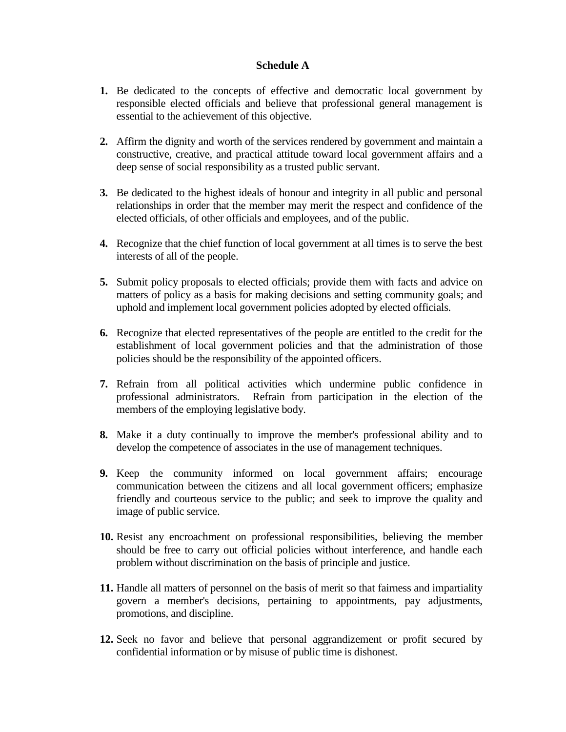# **Schedule A**

- **1.** Be dedicated to the concepts of effective and democratic local government by responsible elected officials and believe that professional general management is essential to the achievement of this objective.
- **2.** Affirm the dignity and worth of the services rendered by government and maintain a constructive, creative, and practical attitude toward local government affairs and a deep sense of social responsibility as a trusted public servant.
- **3.** Be dedicated to the highest ideals of honour and integrity in all public and personal relationships in order that the member may merit the respect and confidence of the elected officials, of other officials and employees, and of the public.
- **4.** Recognize that the chief function of local government at all times is to serve the best interests of all of the people.
- **5.** Submit policy proposals to elected officials; provide them with facts and advice on matters of policy as a basis for making decisions and setting community goals; and uphold and implement local government policies adopted by elected officials.
- **6.** Recognize that elected representatives of the people are entitled to the credit for the establishment of local government policies and that the administration of those policies should be the responsibility of the appointed officers.
- **7.** Refrain from all political activities which undermine public confidence in professional administrators. Refrain from participation in the election of the members of the employing legislative body.
- **8.** Make it a duty continually to improve the member's professional ability and to develop the competence of associates in the use of management techniques.
- **9.** Keep the community informed on local government affairs; encourage communication between the citizens and all local government officers; emphasize friendly and courteous service to the public; and seek to improve the quality and image of public service.
- **10.** Resist any encroachment on professional responsibilities, believing the member should be free to carry out official policies without interference, and handle each problem without discrimination on the basis of principle and justice.
- **11.** Handle all matters of personnel on the basis of merit so that fairness and impartiality govern a member's decisions, pertaining to appointments, pay adjustments, promotions, and discipline.
- **12.** Seek no favor and believe that personal aggrandizement or profit secured by confidential information or by misuse of public time is dishonest.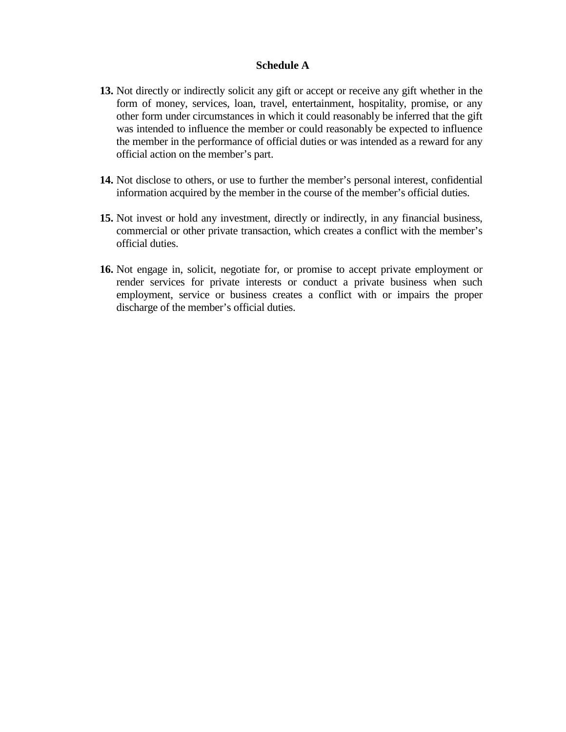### **Schedule A**

- **13.** Not directly or indirectly solicit any gift or accept or receive any gift whether in the form of money, services, loan, travel, entertainment, hospitality, promise, or any other form under circumstances in which it could reasonably be inferred that the gift was intended to influence the member or could reasonably be expected to influence the member in the performance of official duties or was intended as a reward for any official action on the member's part.
- **14.** Not disclose to others, or use to further the member's personal interest, confidential information acquired by the member in the course of the member's official duties.
- **15.** Not invest or hold any investment, directly or indirectly, in any financial business, commercial or other private transaction, which creates a conflict with the member's official duties.
- **16.** Not engage in, solicit, negotiate for, or promise to accept private employment or render services for private interests or conduct a private business when such employment, service or business creates a conflict with or impairs the proper discharge of the member's official duties.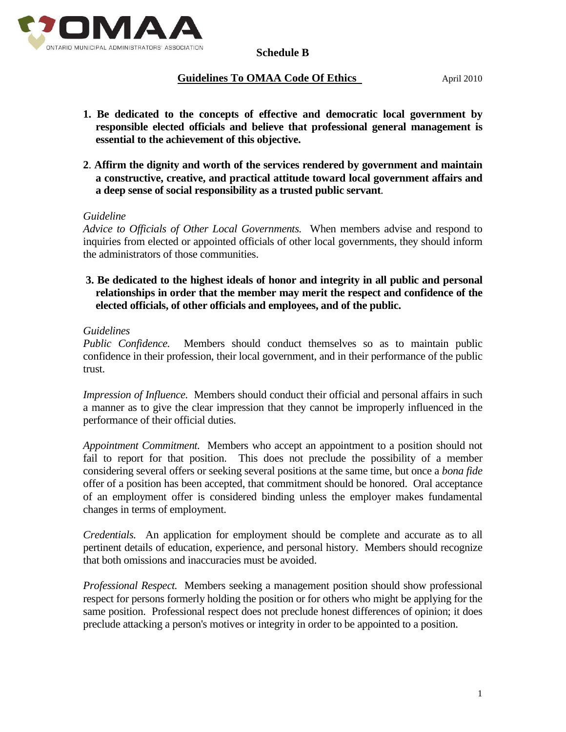

# **Guidelines To OMAA Code Of Ethics** April 2010

- **1. Be dedicated to the concepts of effective and democratic local government by responsible elected officials and believe that professional general management is essential to the achievement of this objective.**
- **2**. **Affirm the dignity and worth of the services rendered by government and maintain a constructive, creative, and practical attitude toward local government affairs and a deep sense of social responsibility as a trusted public servant**.

#### *Guideline*

*Advice to Officials of Other Local Governments.* When members advise and respond to inquiries from elected or appointed officials of other local governments, they should inform the administrators of those communities.

**3. Be dedicated to the highest ideals of honor and integrity in all public and personal relationships in order that the member may merit the respect and confidence of the elected officials, of other officials and employees, and of the public.**

#### *Guidelines*

*Public Confidence.* Members should conduct themselves so as to maintain public confidence in their profession, their local government, and in their performance of the public trust.

*Impression of Influence.* Members should conduct their official and personal affairs in such a manner as to give the clear impression that they cannot be improperly influenced in the performance of their official duties.

*Appointment Commitment.* Members who accept an appointment to a position should not fail to report for that position. This does not preclude the possibility of a member considering several offers or seeking several positions at the same time, but once a *bona fide* offer of a position has been accepted, that commitment should be honored. Oral acceptance of an employment offer is considered binding unless the employer makes fundamental changes in terms of employment.

*Credentials.* An application for employment should be complete and accurate as to all pertinent details of education, experience, and personal history. Members should recognize that both omissions and inaccuracies must be avoided.

*Professional Respect.* Members seeking a management position should show professional respect for persons formerly holding the position or for others who might be applying for the same position. Professional respect does not preclude honest differences of opinion; it does preclude attacking a person's motives or integrity in order to be appointed to a position.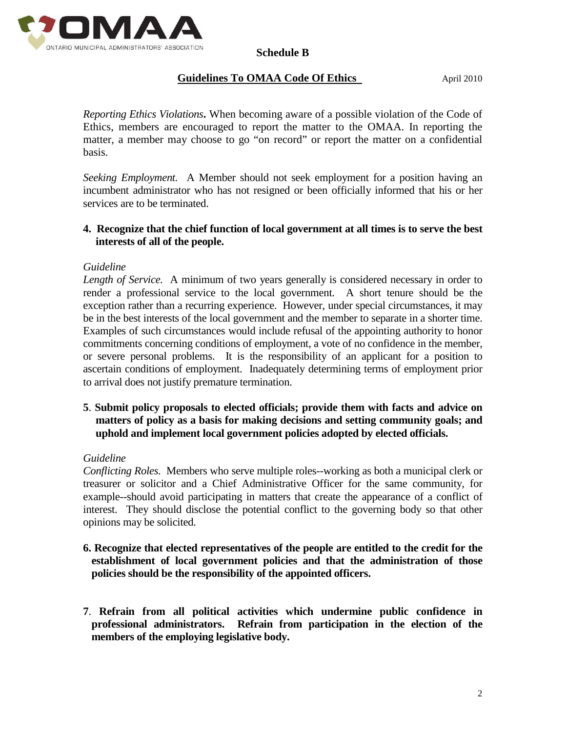

# **Guidelines To OMAA Code Of Ethics** April 2010

*Reporting Ethics Violations***.** When becoming aware of a possible violation of the Code of Ethics, members are encouraged to report the matter to the OMAA. In reporting the matter, a member may choose to go "on record" or report the matter on a confidential basis.

*Seeking Employment.* A Member should not seek employment for a position having an incumbent administrator who has not resigned or been officially informed that his or her services are to be terminated.

# **4. Recognize that the chief function of local government at all times is to serve the best interests of all of the people.**

## *Guideline*

*Length of Service.* A minimum of two years generally is considered necessary in order to render a professional service to the local government. A short tenure should be the exception rather than a recurring experience. However, under special circumstances, it may be in the best interests of the local government and the member to separate in a shorter time. Examples of such circumstances would include refusal of the appointing authority to honor commitments concerning conditions of employment, a vote of no confidence in the member, or severe personal problems. It is the responsibility of an applicant for a position to ascertain conditions of employment. Inadequately determining terms of employment prior to arrival does not justify premature termination.

**5**. **Submit policy proposals to elected officials; provide them with facts and advice on matters of policy as a basis for making decisions and setting community goals; and uphold and implement local government policies adopted by elected officials.**

## *Guideline*

*Conflicting Roles.* Members who serve multiple roles--working as both a municipal clerk or treasurer or solicitor and a Chief Administrative Officer for the same community, for example--should avoid participating in matters that create the appearance of a conflict of interest. They should disclose the potential conflict to the governing body so that other opinions may be solicited.

- **6. Recognize that elected representatives of the people are entitled to the credit for the establishment of local government policies and that the administration of those policies should be the responsibility of the appointed officers.**
- **7**. **Refrain from all political activities which undermine public confidence in professional administrators. Refrain from participation in the election of the members of the employing legislative body.**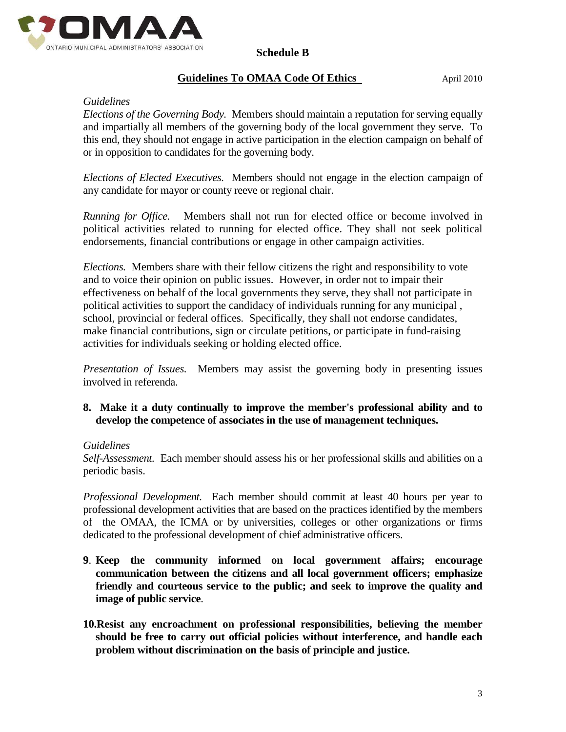

# **Guidelines To OMAA Code Of Ethics** April 2010

# *Guidelines*

*Elections of the Governing Body.* Members should maintain a reputation for serving equally and impartially all members of the governing body of the local government they serve. To this end, they should not engage in active participation in the election campaign on behalf of or in opposition to candidates for the governing body.

*Elections of Elected Executives.* Members should not engage in the election campaign of any candidate for mayor or county reeve or regional chair.

*Running for Office.* Members shall not run for elected office or become involved in political activities related to running for elected office. They shall not seek political endorsements, financial contributions or engage in other campaign activities.

*Elections.* Members share with their fellow citizens the right and responsibility to vote and to voice their opinion on public issues. However, in order not to impair their effectiveness on behalf of the local governments they serve, they shall not participate in political activities to support the candidacy of individuals running for any municipal , school, provincial or federal offices*.* Specifically, they shall not endorse candidates, make financial contributions, sign or circulate petitions, or participate in fund-raising activities for individuals seeking or holding elected office.

*Presentation of Issues.* Members may assist the governing body in presenting issues involved in referenda.

# **8. Make it a duty continually to improve the member's professional ability and to develop the competence of associates in the use of management techniques.**

## *Guidelines*

*Self-Assessment.* Each member should assess his or her professional skills and abilities on a periodic basis.

*Professional Development.* Each member should commit at least 40 hours per year to professional development activities that are based on the practices identified by the members of the OMAA, the ICMA or by universities, colleges or other organizations or firms dedicated to the professional development of chief administrative officers.

- **9**. **Keep the community informed on local government affairs; encourage communication between the citizens and all local government officers; emphasize friendly and courteous service to the public; and seek to improve the quality and image of public service**.
- **10.Resist any encroachment on professional responsibilities, believing the member should be free to carry out official policies without interference, and handle each problem without discrimination on the basis of principle and justice.**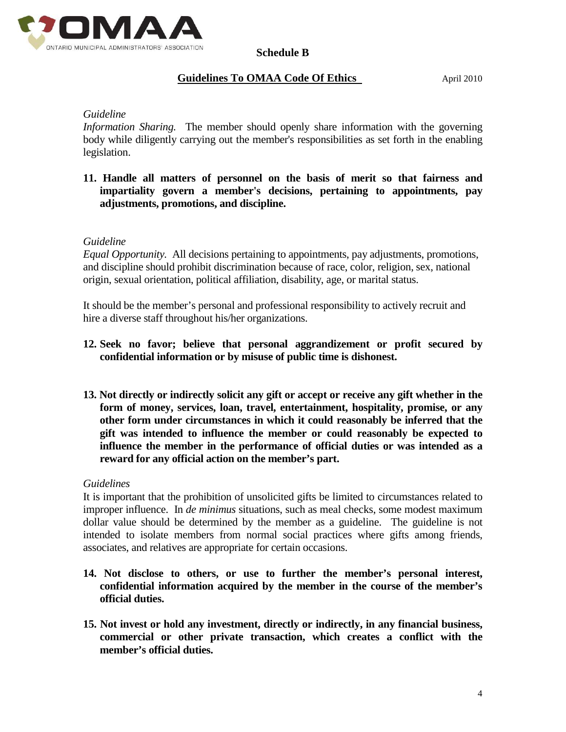

# **Guidelines To OMAA Code Of Ethics** April 2010

## *Guideline*

*Information Sharing.* The member should openly share information with the governing body while diligently carrying out the member's responsibilities as set forth in the enabling legislation.

# **11. Handle all matters of personnel on the basis of merit so that fairness and impartiality govern a member's decisions, pertaining to appointments, pay adjustments, promotions, and discipline.**

## *Guideline*

*Equal Opportunity.* All decisions pertaining to appointments, pay adjustments, promotions, and discipline should prohibit discrimination because of race, color, religion, sex, national origin, sexual orientation, political affiliation, disability, age, or marital status.

It should be the member's personal and professional responsibility to actively recruit and hire a diverse staff throughout his/her organizations.

# **12. Seek no favor; believe that personal aggrandizement or profit secured by confidential information or by misuse of public time is dishonest.**

**13. Not directly or indirectly solicit any gift or accept or receive any gift whether in the form of money, services, loan, travel, entertainment, hospitality, promise, or any other form under circumstances in which it could reasonably be inferred that the gift was intended to influence the member or could reasonably be expected to influence the member in the performance of official duties or was intended as a reward for any official action on the member's part.**

## *Guidelines*

It is important that the prohibition of unsolicited gifts be limited to circumstances related to improper influence. In *de minimus* situations, such as meal checks, some modest maximum dollar value should be determined by the member as a guideline. The guideline is not intended to isolate members from normal social practices where gifts among friends, associates, and relatives are appropriate for certain occasions.

- **14. Not disclose to others, or use to further the member's personal interest, confidential information acquired by the member in the course of the member's official duties.**
- **15. Not invest or hold any investment, directly or indirectly, in any financial business, commercial or other private transaction, which creates a conflict with the member's official duties.**